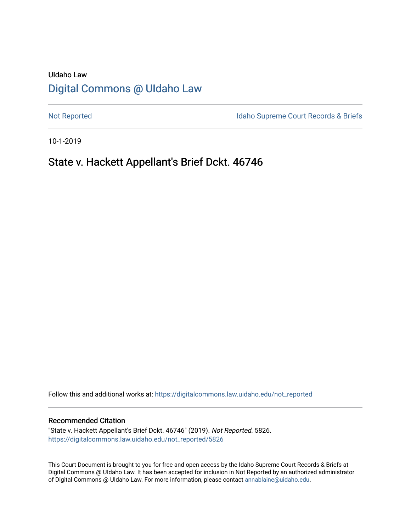# UIdaho Law [Digital Commons @ UIdaho Law](https://digitalcommons.law.uidaho.edu/)

[Not Reported](https://digitalcommons.law.uidaho.edu/not_reported) **Idaho Supreme Court Records & Briefs** 

10-1-2019

# State v. Hackett Appellant's Brief Dckt. 46746

Follow this and additional works at: [https://digitalcommons.law.uidaho.edu/not\\_reported](https://digitalcommons.law.uidaho.edu/not_reported?utm_source=digitalcommons.law.uidaho.edu%2Fnot_reported%2F5826&utm_medium=PDF&utm_campaign=PDFCoverPages) 

#### Recommended Citation

"State v. Hackett Appellant's Brief Dckt. 46746" (2019). Not Reported. 5826. [https://digitalcommons.law.uidaho.edu/not\\_reported/5826](https://digitalcommons.law.uidaho.edu/not_reported/5826?utm_source=digitalcommons.law.uidaho.edu%2Fnot_reported%2F5826&utm_medium=PDF&utm_campaign=PDFCoverPages)

This Court Document is brought to you for free and open access by the Idaho Supreme Court Records & Briefs at Digital Commons @ UIdaho Law. It has been accepted for inclusion in Not Reported by an authorized administrator of Digital Commons @ UIdaho Law. For more information, please contact [annablaine@uidaho.edu](mailto:annablaine@uidaho.edu).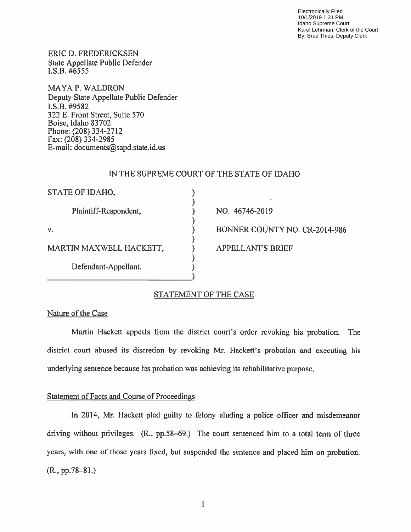Electronically Filed 10/1/2019 1:31 PM Idaho Supreme Court Karel Lehrman, Clerk of the Court By: Brad Thies, Deputy Clerk

ERIC D. FREDERICKSEN State Appellate Public Defender I.S.B. *#6555* 

MA YA P. WALDRON Deputy State Appellate Public Defender I.S.B. #9582 322 E. Front Street, Suite 570 Boise, Idaho 83 702 Phone: (208) 334-2712 Fax: (208) 334-2985 E-mail: documents@sapd.state.id.us

# IN THE SUPREME COURT OF THE STATE OF IDAHO

| STATE OF IDAHO,         |                               |
|-------------------------|-------------------------------|
| Plaintiff-Respondent,   | NO. 46746-2019                |
| v.                      | BONNER COUNTY NO. CR-2014-986 |
| MARTIN MAXWELL HACKETT, | <b>APPELLANT'S BRIEF</b>      |
| Defendant-Appellant.    |                               |

)

### STATEMENT OF THE CASE

### Nature of the Case

Martin Hackett appeals from the district court's order revoking his probation. The district court abused its discretion by revoking Mr. Hackett's probation and executing his underlying sentence because his probation was achieving its rehabilitative purpose.

### Statement of Facts and Course of Proceedings

In 2014, Mr. Hackett pied guilty to felony eluding a police officer and misdemeanor driving without privileges. (R., pp.58-69.) The court sentenced him to a total term of three years, with one of those years fixed, but suspended the sentence and placed him on probation.  $(R., pp. 78-81.)$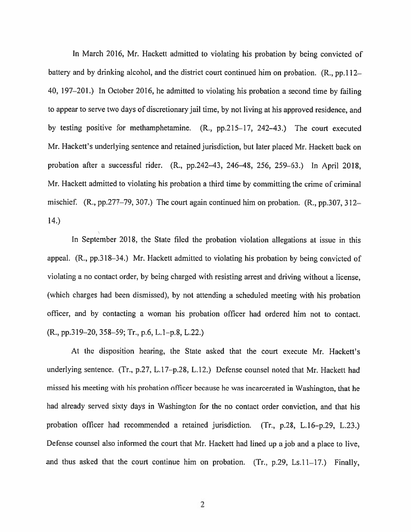In March 2016, Mr. Hackett admitted to violating his probation by being convicted of battery and by drinking alcohol, and the district court continued him on probation. (R., pp.112– 40, 197–201.) In October 2016, he admitted to violating his probation a second time by failing to appear to serve two days of discretionary jail time, by not living at his approved residence, and by testing positive for methamphetamine. (R., pp.215-17, 242-43.) The court executed Mr. Hackett's underlying sentence and retained jurisdiction, but later placed Mr. Hackett back on probation after a successful rider. (R., pp.242-43, 246-48, 256, 259-63.) In April 2018, Mr. Hackett admitted to violating his probation a third time by committing the crime of criminal mischief.  $(R., pp.277-79, 307.)$  The court again continued him on probation.  $(R., pp.307, 312-$ 14.)

In September 2018, the State filed the probation violation allegations at issue in this appeal. (R., pp.318-34.) Mr. Hackett admitted to violating his probation by being convicted of violating a no contact order, by being charged with resisting arrest and driving without a license, (which charges had been dismissed), by not attending a scheduled meeting with his probation officer, and by contacting a woman his probation officer had ordered him not to contact. (R., pp.319-20, 358-59; Tr., p.6, L.1-p.8, L.22.)

At the disposition hearing, the State asked that the court execute Mr. Hackett's underlying sentence. (Tr., p.27, L.17-p.28, L.12.) Defense counsel noted that Mr. Hackett had missed his meeting with his probation officer because he was incarcerated in Washington, that he had already served sixty days in Washington for the no contact order conviction, and that his probation officer had recommended a retained jurisdiction. (Tr., p.28, L.16-p.29, L.23.) Defense counsel also informed the court that Mr. Hackett had lined up a job and a place to live, and thus asked that the court continue him on probation. (Tr.,  $p.29$ , Ls.11-17.) Finally,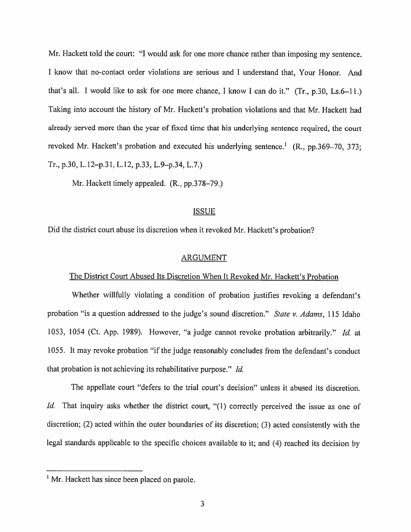Mr. Hackett told the court: "I would ask for one more chance rather than imposing my sentence. I know that no-contact order violations are serious and I understand that, Your Honor. And that's all. I would like to ask for one more chance, I know I can do it." (Tr., p.30, Ls.6-11.) Taking into account the history of Mr. Hackett's probation violations and that Mr. Hackett had already served more than the year of fixed time that his underlying sentence required, the court revoked Mr. Hackett's probation and executed his underlying sentence.<sup>1</sup> (R., pp.369-70, 373; Tr., p.30, L.12-p.31, L.12, p.33, L.9-p.34, L.7.)

Mr. Hackett timely appealed. (R., pp.378–79.)

# ISSUE

Did the district court abuse its discretion when it revoked Mr. Hackett's probation?

#### ARGUMENT

#### The District Court Abused Its Discretion When It Revoked Mr. Hackett's Probation

Whether willfully violating a condition of probation justifies revoking a defendant's probation "is a question addressed to the judge's sound discretion." *Stale v. Adams,* 115 Idaho 1053, 1054 (Ct. App. 1989). However, "a judge cannot revoke probation arbitrarily." *Id.* at 1055. It may revoke probation "if the judge reasonably concludes from the defendant's conduct that probation is not achieving its rehabilitative purpose." *Id.* 

The appellate court "defers to the trial court's decision" unless it abused its discretion. *Id.* That inquiry asks whether the district court, "(1) correctly perceived the issue as one of discretion; (2) acted within the outer boundaries of its discretion; (3) acted consistently with the legal standards applicable to the specific choices available to it; and (4) reached its decision by

<sup>&</sup>lt;sup>1</sup> Mr. Hackett has since been placed on parole.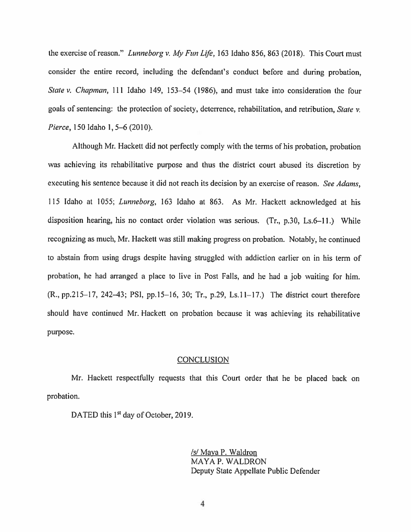the exercise of reason." *Lunneborg v.* My *Fun Life,* 163 Idaho 856, 863 (2018). This Court must consider the entire record, including the defendant's conduct before and during probation, *State v. Chapman, 111 Idaho 149, 153-54 (1986), and must take into consideration the four* goals of sentencing: the protection of society, deterrence, rehabilitation, and retribution, *State v. Pierce,* 150 Idaho 1, *5-6* (2010).

Although Mr. Hackett did not perfectly comply with the terms of his probation, probation was achieving its rehabilitative purpose and thus the district court abused its discretion by executing his sentence because it did not reach its decision by an exercise of reason. *See Adams,*  115 Idaho at I 055; *Lunneborg,* 163 Idaho at 863. As Mr. Hackett acknowledged at his disposition hearing, his no contact order violation was serious. (Tr., p.30, Ls.6-11.) While recognizing as much, Mr. Hackett was still making progress on probation. Notably, he continued to abstain from using drugs despite having struggled with addiction earlier on in his term of probation, he had arranged a place to live in Post Falls, and he had a job waiting for him. (R., pp.215-17, 242-43; PSI, pp.15-16, 30; Tr., p.29, Ls.11-17.) The district court therefore should have continued Mr. Hackett on probation because it was achieving its rehabilitative purpose.

#### **CONCLUSION**

Mr. Hackett respectfully requests that this Court order that he be placed back on probation.

DATED this 1<sup>st</sup> day of October, 2019.

/s/ Maya P. Waldron MAYA P. WALDRON Deputy State Appellate Public Defender

4